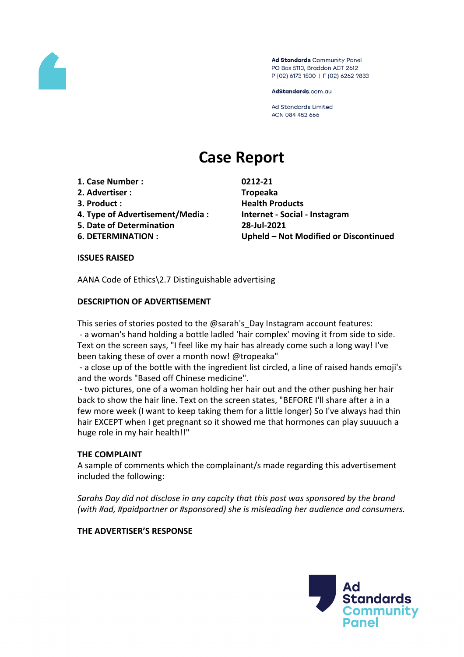

Ad Standards Community Panel PO Box 5110, Braddon ACT 2612 P (02) 6173 1500 | F (02) 6262 9833

AdStandards.com.au

**Ad Standards Limited** ACN 084 452 666

# **Case Report**

- **1. Case Number : 0212-21**
- **2. Advertiser : Tropeaka**
- 
- **4. Type of Advertisement/Media : Internet - Social - Instagram**
- **5. Date of Determination 28-Jul-2021**
- 

**3. Product : Health Products 6. DETERMINATION : Upheld – Not Modified or Discontinued**

# **ISSUES RAISED**

AANA Code of Ethics\2.7 Distinguishable advertising

# **DESCRIPTION OF ADVERTISEMENT**

This series of stories posted to the @sarah's Day Instagram account features: - a woman's hand holding a bottle ladled 'hair complex' moving it from side to side. Text on the screen says, "I feel like my hair has already come such a long way! I've been taking these of over a month now! @tropeaka"

- a close up of the bottle with the ingredient list circled, a line of raised hands emoji's and the words "Based off Chinese medicine".

- two pictures, one of a woman holding her hair out and the other pushing her hair back to show the hair line. Text on the screen states, "BEFORE I'll share after a in a few more week (I want to keep taking them for a little longer) So I've always had thin hair EXCEPT when I get pregnant so it showed me that hormones can play suuuuch a huge role in my hair health!!"

# **THE COMPLAINT**

A sample of comments which the complainant/s made regarding this advertisement included the following:

*Sarahs Day did not disclose in any capcity that this post was sponsored by the brand (with #ad, #paidpartner or #sponsored) she is misleading her audience and consumers.*

# **THE ADVERTISER'S RESPONSE**

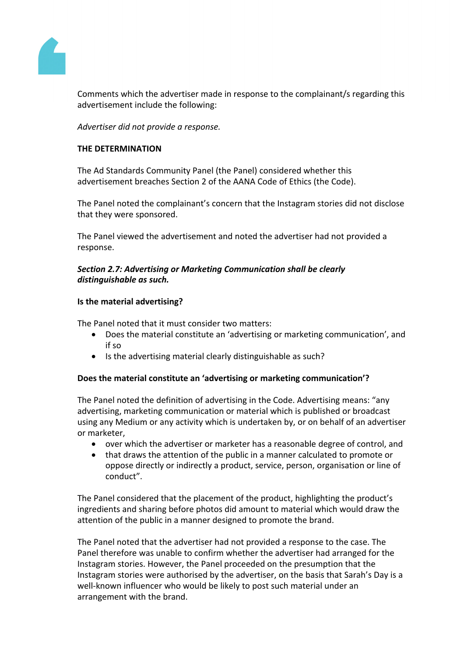

Comments which the advertiser made in response to the complainant/s regarding this advertisement include the following:

*Advertiser did not provide a response.*

# **THE DETERMINATION**

The Ad Standards Community Panel (the Panel) considered whether this advertisement breaches Section 2 of the AANA Code of Ethics (the Code).

The Panel noted the complainant's concern that the Instagram stories did not disclose that they were sponsored.

The Panel viewed the advertisement and noted the advertiser had not provided a response.

# *Section 2.7: Advertising or Marketing Communication shall be clearly distinguishable as such.*

# **Is the material advertising?**

The Panel noted that it must consider two matters:

- Does the material constitute an 'advertising or marketing communication', and if so
- Is the advertising material clearly distinguishable as such?

# **Does the material constitute an 'advertising or marketing communication'?**

The Panel noted the definition of advertising in the Code. Advertising means: "any advertising, marketing communication or material which is published or broadcast using any Medium or any activity which is undertaken by, or on behalf of an advertiser or marketer,

- over which the advertiser or marketer has a reasonable degree of control, and
- that draws the attention of the public in a manner calculated to promote or oppose directly or indirectly a product, service, person, organisation or line of conduct".

The Panel considered that the placement of the product, highlighting the product's ingredients and sharing before photos did amount to material which would draw the attention of the public in a manner designed to promote the brand.

The Panel noted that the advertiser had not provided a response to the case. The Panel therefore was unable to confirm whether the advertiser had arranged for the Instagram stories. However, the Panel proceeded on the presumption that the Instagram stories were authorised by the advertiser, on the basis that Sarah's Day is a well-known influencer who would be likely to post such material under an arrangement with the brand.